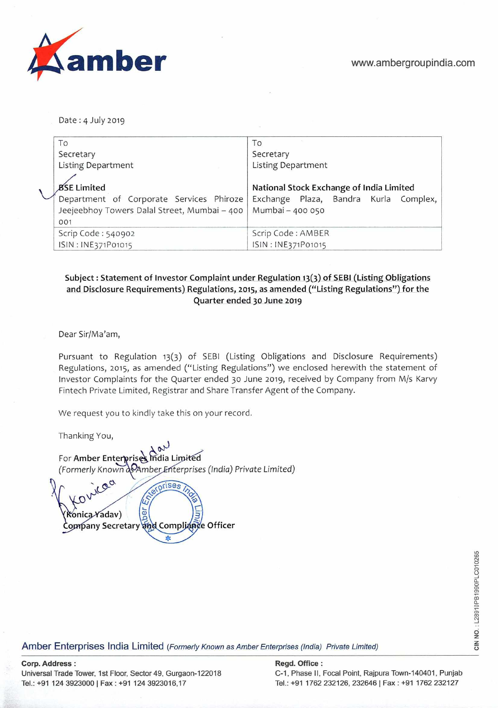

Date : 4 July 2019

| To                                           | To                                       |  |  |  |
|----------------------------------------------|------------------------------------------|--|--|--|
| Secretary                                    | Secretary                                |  |  |  |
| <b>Listing Department</b>                    | <b>Listing Department</b>                |  |  |  |
|                                              |                                          |  |  |  |
| <b>BSE Limited</b>                           | National Stock Exchange of India Limited |  |  |  |
| Department of Corporate Services Phiroze     | Exchange Plaza, Bandra Kurla Complex,    |  |  |  |
| Jeejeebhoy Towers Dalal Street, Mumbai - 400 | Mumbai - 400 050                         |  |  |  |
| 001                                          |                                          |  |  |  |
| Scrip Code: 540902                           | Scrip Code: AMBER                        |  |  |  |
| ISIN: INE371P01015                           | ISIN: INE371P01015                       |  |  |  |

## **Subject : Statement of Investor Complaint under Regulation 13(3) of SEBI (Listing Obligations and Disclosure Requirements) Regulations, 2015, as amended ("Listing Regulations") for the Quarter ended 30 June 2019**

Dear Sir/Ma'am,

Pursuant to Regulation 13(3) of SEBI (Listing Obligations and Disclosure Requirements) Regulations, **2015,** as amended ("Listing Regulations") we enclosed herewith the statement of Investor Complaints for the Quarter ended **30** June 2019, received by Company from M/s Karvy Fintech Private Limited, Registrar and Share Transfer Agent of the Company.

We request you to kindly take this on your record.

Thanking You,

For Amber Enterprise *India Limited (Formerly KrowFi2Amber* .- *terprises (India) Private* Limited)

prises  $\frac{1}{\Phi}$ *Ronica Y*adav) Company Secretary and Compliance Officer

Amber Enterprises India Limited *(Formerly Known as Amber Enterprises (India) Private Limited)* 

**Corp. Address: Regd. Office: Regd. Office: Regd. Office: Regd. Office: Regd. Office: Regd. Office: Regd.** Office: **Regd.** Office: **Regd.** Office: **Regd.** Office: **Regd.** Office: **Regd.** Office: **Regd.** Offic **Universal Trade Tower, 1st Floor, Sector 49, Gurgaon-122018 C-i, Phase II,** Focal Point, Rajpura Town-140401, Punjab **Tel.: ~91 124 39230001 Fax: +91 1243923016,17 Tel.: +91 1762 232126, 232646 I Fax :** +91 1762 232127